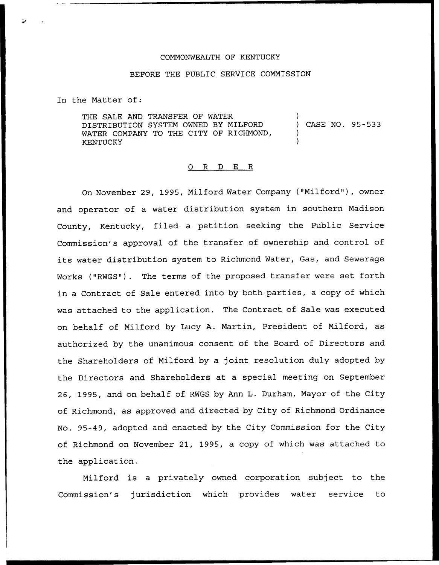## COMMONWEALTH OF KENTUCKY

## BEFORE THE PUBLIC SERVICE COMMISSION

In the Matter of:

THE SALE AND TRANSFER OF WATER DISTRIBUTION SYSTEM OWNED BY MILFORD WATER COMPANY TO THE CITY OF RICHMOND, KENTUCKY ) ) CASE NO. 95-533 ) )

## 0 R <sup>D</sup> E R

On November 29, 1995, Milford Water Company ("Milford"), owner and operator of a water distribution system in southern Madison County, Kentucky, filed a petition seeking the Public Service Commission's approval of the transfer of ownership and control of its water distribution system to Richmond Water, Gas, and Sewerage Works ("RWGS"). The terms of the proposed transfer were set forth in a Contract of Sale entered into by both parties, a copy of which was attached to the application. The Contract of Sale was executed on behalf of Milford by Lucy A. Martin, President of Milford, as authorized by the unanimous consent of the Board of Directors and the Shareholders of Milford by a joint resolution duly adopted by the Directors and Shareholders at a special meeting on September 26, 1995, and on behalf of RWGS by Ann L. Durham, Mayor of the City of Richmond, as approved and directed by City of Richmond Ordinance No. 95-49, adopted and enacted by the City Commission for the City of Richmond on November 21, 1995, a copy of which was attached to the application.

Milford is a privately owned corporation subject to the Commission's jurisdiction which provides water service to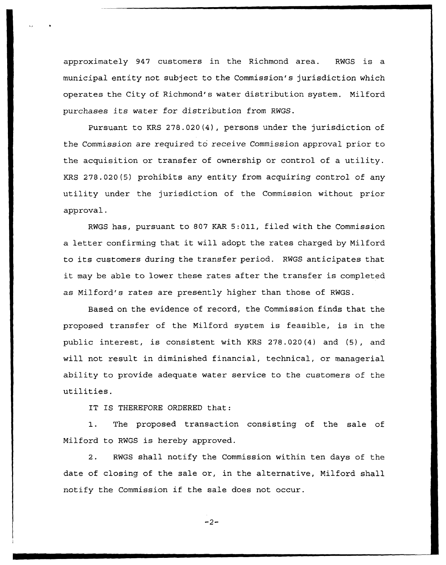approximately 947 customers in the Richmond area. RWGS is a municipal entity not subject to the Commission's jurisdiction which operates the City of Richmond's water distribution system. Nilford purchases its water for distribution from RWGS.

Pursuant to KRS 278.020(4), persons under the jurisdiction of the Commission are required to receive Commission approval prior to the acquisition or transfer of ownership or control of a utility. KRS 278.020(5) prohibits any entity from acquiring control of any utility under the jurisdiction of the Commission without prior approval.

RWGS has, pursuant to 807 KAR 5:Oll, filed with the Commission <sup>a</sup> letter confirming that it will adopt the rates charged by Nilford to its customers during the transfer period. RWGS anticipates that it may be able to lower these rates after the transfer is completed as Nilford's rates are presently higher than those of RWGS.

Based on the evidence of record, the Commission finds that the proposed transfer of the Nilford system is feasible, is in the public interest, is consistent with KRS 278.020(4) and (5), and will not result in diminished financial, technical, or managerial ability to provide adequate water service to the customers of the utilities.

IT IS THEREFORE ORDERED that:

1. The proposed transaction consisting of the sale of Nilford to RWGS is hereby approved.

2. RWGS shall notify the Commission within ten days of the date of closing of the sale or, in the alternative, Nilford shall notify the Commission if the sale does not occur.

 $-2-$